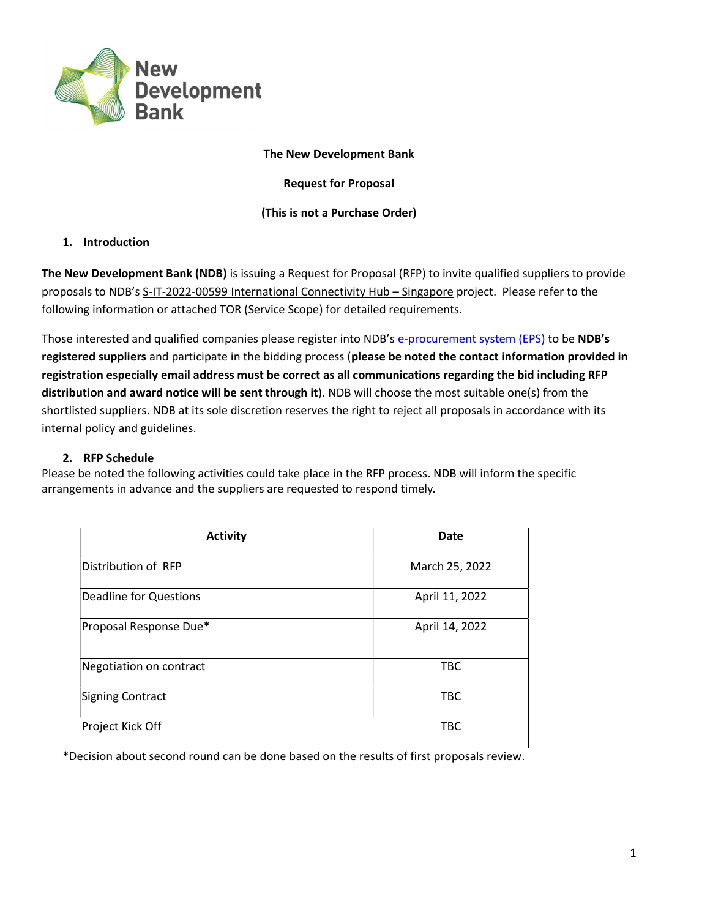

#### The New Development Bank

Request for Proposal

#### (This is not a Purchase Order)

### 1. Introduction

The New Development Bank (NDB) is issuing a Request for Proposal (RFP) to invite qualified suppliers to provide proposals to NDB's S-IT-2022-00599 International Connectivity Hub – Singapore project. Please refer to the following information or attached TOR (Service Scope) for detailed requirements.

Those interested and qualified companies please register into NDB's e-procurement system (EPS) to be NDB's registered suppliers and participate in the bidding process (please be noted the contact information provided in registration especially email address must be correct as all communications regarding the bid including RFP distribution and award notice will be sent through it). NDB will choose the most suitable one(s) from the shortlisted suppliers. NDB at its sole discretion reserves the right to reject all proposals in accordance with its internal policy and guidelines.

#### 2. RFP Schedule

Please be noted the following activities could take place in the RFP process. NDB will inform the specific arrangements in advance and the suppliers are requested to respond timely.

| <b>Activity</b>               | <b>Date</b>    |
|-------------------------------|----------------|
| Distribution of RFP           | March 25, 2022 |
| <b>Deadline for Questions</b> | April 11, 2022 |
| Proposal Response Due*        | April 14, 2022 |
| Negotiation on contract       | <b>TBC</b>     |
| Signing Contract              | <b>TBC</b>     |
| Project Kick Off              | <b>TBC</b>     |

\*Decision about second round can be done based on the results of first proposals review.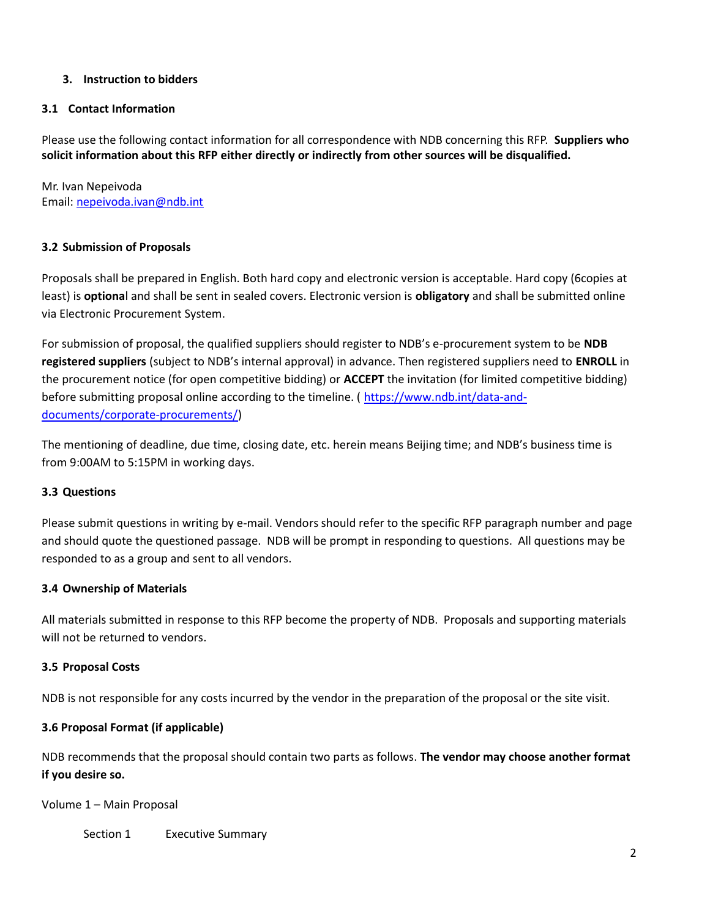# 3. Instruction to bidders

#### 3.1 Contact Information

Please use the following contact information for all correspondence with NDB concerning this RFP. Suppliers who solicit information about this RFP either directly or indirectly from other sources will be disqualified.

Mr. Ivan Nepeivoda Email: nepeivoda.ivan@ndb.int

#### 3.2 Submission of Proposals

Proposals shall be prepared in English. Both hard copy and electronic version is acceptable. Hard copy (6copies at least) is **optiona**l and shall be sent in sealed covers. Electronic version is **obligatory** and shall be submitted online via Electronic Procurement System.

For submission of proposal, the qualified suppliers should register to NDB's e-procurement system to be NDB registered suppliers (subject to NDB's internal approval) in advance. Then registered suppliers need to ENROLL in the procurement notice (for open competitive bidding) or ACCEPT the invitation (for limited competitive bidding) before submitting proposal online according to the timeline. ( https://www.ndb.int/data-anddocuments/corporate-procurements/)

The mentioning of deadline, due time, closing date, etc. herein means Beijing time; and NDB's business time is from 9:00AM to 5:15PM in working days.

#### 3.3 Questions

Please submit questions in writing by e-mail. Vendors should refer to the specific RFP paragraph number and page and should quote the questioned passage. NDB will be prompt in responding to questions. All questions may be responded to as a group and sent to all vendors.

#### 3.4 Ownership of Materials

All materials submitted in response to this RFP become the property of NDB. Proposals and supporting materials will not be returned to vendors.

#### 3.5 Proposal Costs

NDB is not responsible for any costs incurred by the vendor in the preparation of the proposal or the site visit.

# 3.6 Proposal Format (if applicable)

NDB recommends that the proposal should contain two parts as follows. The vendor may choose another format if you desire so.

Volume 1 – Main Proposal

Section 1 Executive Summary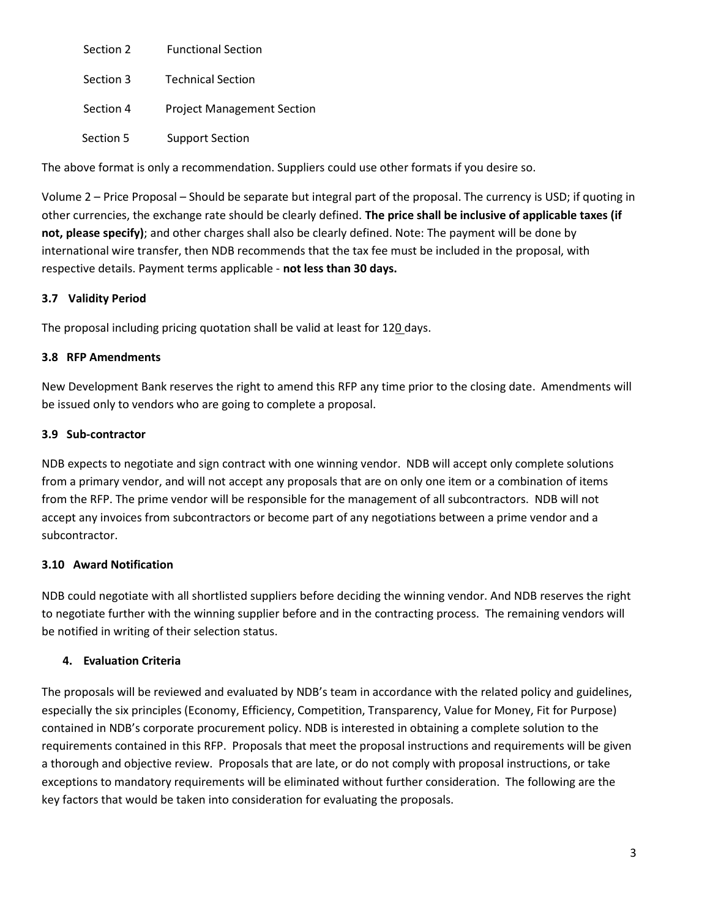| Section 2 | <b>Functional Section</b>         |
|-----------|-----------------------------------|
| Section 3 | <b>Technical Section</b>          |
| Section 4 | <b>Project Management Section</b> |
| Section 5 | Support Section                   |

The above format is only a recommendation. Suppliers could use other formats if you desire so.

Volume 2 – Price Proposal – Should be separate but integral part of the proposal. The currency is USD; if quoting in other currencies, the exchange rate should be clearly defined. The price shall be inclusive of applicable taxes (if not, please specify); and other charges shall also be clearly defined. Note: The payment will be done by international wire transfer, then NDB recommends that the tax fee must be included in the proposal, with respective details. Payment terms applicable - not less than 30 days.

### 3.7 Validity Period

The proposal including pricing quotation shall be valid at least for 120 days.

#### 3.8 RFP Amendments

New Development Bank reserves the right to amend this RFP any time prior to the closing date. Amendments will be issued only to vendors who are going to complete a proposal.

#### 3.9 Sub-contractor

NDB expects to negotiate and sign contract with one winning vendor. NDB will accept only complete solutions from a primary vendor, and will not accept any proposals that are on only one item or a combination of items from the RFP. The prime vendor will be responsible for the management of all subcontractors. NDB will not accept any invoices from subcontractors or become part of any negotiations between a prime vendor and a subcontractor.

#### 3.10 Award Notification

NDB could negotiate with all shortlisted suppliers before deciding the winning vendor. And NDB reserves the right to negotiate further with the winning supplier before and in the contracting process. The remaining vendors will be notified in writing of their selection status.

#### 4. Evaluation Criteria

The proposals will be reviewed and evaluated by NDB's team in accordance with the related policy and guidelines, especially the six principles (Economy, Efficiency, Competition, Transparency, Value for Money, Fit for Purpose) contained in NDB's corporate procurement policy. NDB is interested in obtaining a complete solution to the requirements contained in this RFP. Proposals that meet the proposal instructions and requirements will be given a thorough and objective review. Proposals that are late, or do not comply with proposal instructions, or take exceptions to mandatory requirements will be eliminated without further consideration. The following are the key factors that would be taken into consideration for evaluating the proposals.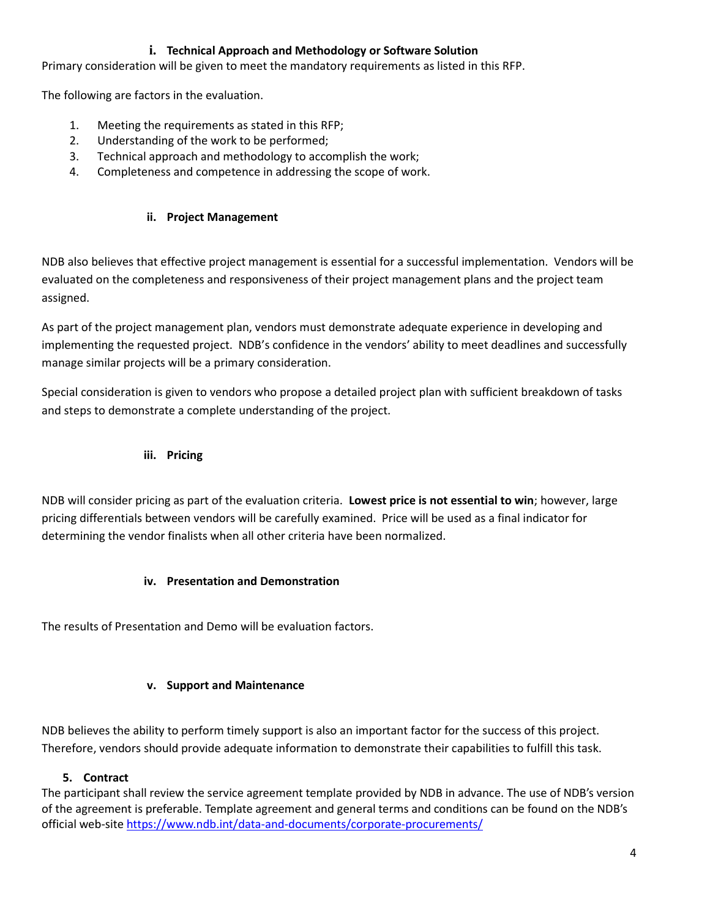# i. Technical Approach and Methodology or Software Solution

Primary consideration will be given to meet the mandatory requirements as listed in this RFP.

The following are factors in the evaluation.

- 1. Meeting the requirements as stated in this RFP;
- 2. Understanding of the work to be performed;
- 3. Technical approach and methodology to accomplish the work;
- 4. Completeness and competence in addressing the scope of work.

### ii. Project Management

NDB also believes that effective project management is essential for a successful implementation. Vendors will be evaluated on the completeness and responsiveness of their project management plans and the project team assigned.

As part of the project management plan, vendors must demonstrate adequate experience in developing and implementing the requested project. NDB's confidence in the vendors' ability to meet deadlines and successfully manage similar projects will be a primary consideration.

Special consideration is given to vendors who propose a detailed project plan with sufficient breakdown of tasks and steps to demonstrate a complete understanding of the project.

iii. Pricing

NDB will consider pricing as part of the evaluation criteria. Lowest price is not essential to win; however, large pricing differentials between vendors will be carefully examined. Price will be used as a final indicator for determining the vendor finalists when all other criteria have been normalized.

#### iv. Presentation and Demonstration

The results of Presentation and Demo will be evaluation factors.

#### v. Support and Maintenance

NDB believes the ability to perform timely support is also an important factor for the success of this project. Therefore, vendors should provide adequate information to demonstrate their capabilities to fulfill this task.

#### 5. Contract

The participant shall review the service agreement template provided by NDB in advance. The use of NDB's version of the agreement is preferable. Template agreement and general terms and conditions can be found on the NDB's official web-site https://www.ndb.int/data-and-documents/corporate-procurements/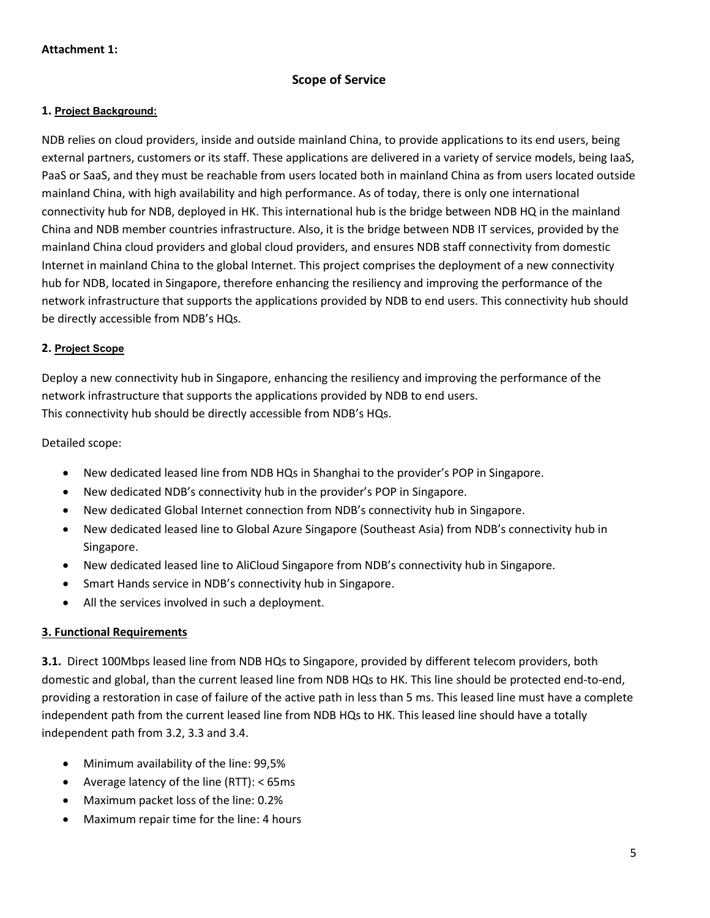# Scope of Service

#### 1. Project Background:

NDB relies on cloud providers, inside and outside mainland China, to provide applications to its end users, being external partners, customers or its staff. These applications are delivered in a variety of service models, being IaaS, PaaS or SaaS, and they must be reachable from users located both in mainland China as from users located outside mainland China, with high availability and high performance. As of today, there is only one international connectivity hub for NDB, deployed in HK. This international hub is the bridge between NDB HQ in the mainland China and NDB member countries infrastructure. Also, it is the bridge between NDB IT services, provided by the mainland China cloud providers and global cloud providers, and ensures NDB staff connectivity from domestic Internet in mainland China to the global Internet. This project comprises the deployment of a new connectivity hub for NDB, located in Singapore, therefore enhancing the resiliency and improving the performance of the network infrastructure that supports the applications provided by NDB to end users. This connectivity hub should be directly accessible from NDB's HQs.

#### 2. Project Scope

Deploy a new connectivity hub in Singapore, enhancing the resiliency and improving the performance of the network infrastructure that supports the applications provided by NDB to end users. This connectivity hub should be directly accessible from NDB's HQs.

Detailed scope:

- New dedicated leased line from NDB HQs in Shanghai to the provider's POP in Singapore.
- New dedicated NDB's connectivity hub in the provider's POP in Singapore.
- New dedicated Global Internet connection from NDB's connectivity hub in Singapore.
- New dedicated leased line to Global Azure Singapore (Southeast Asia) from NDB's connectivity hub in Singapore.
- New dedicated leased line to AliCloud Singapore from NDB's connectivity hub in Singapore.
- Smart Hands service in NDB's connectivity hub in Singapore.
- All the services involved in such a deployment.

#### 3. Functional Requirements

3.1. Direct 100Mbps leased line from NDB HQs to Singapore, provided by different telecom providers, both domestic and global, than the current leased line from NDB HQs to HK. This line should be protected end-to-end, providing a restoration in case of failure of the active path in less than 5 ms. This leased line must have a complete independent path from the current leased line from NDB HQs to HK. This leased line should have a totally independent path from 3.2, 3.3 and 3.4.

- Minimum availability of the line: 99,5%
- Average latency of the line (RTT): < 65ms
- Maximum packet loss of the line: 0.2%
- Maximum repair time for the line: 4 hours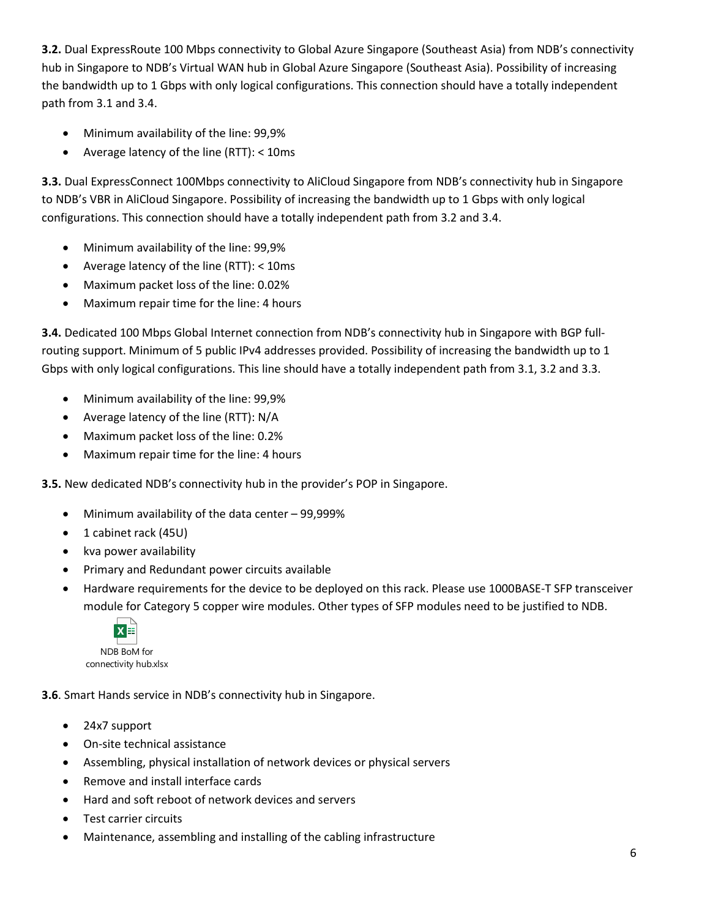3.2. Dual ExpressRoute 100 Mbps connectivity to Global Azure Singapore (Southeast Asia) from NDB's connectivity hub in Singapore to NDB's Virtual WAN hub in Global Azure Singapore (Southeast Asia). Possibility of increasing the bandwidth up to 1 Gbps with only logical configurations. This connection should have a totally independent path from 3.1 and 3.4.

- Minimum availability of the line: 99,9%
- Average latency of the line (RTT): < 10ms

3.3. Dual ExpressConnect 100Mbps connectivity to AliCloud Singapore from NDB's connectivity hub in Singapore to NDB's VBR in AliCloud Singapore. Possibility of increasing the bandwidth up to 1 Gbps with only logical configurations. This connection should have a totally independent path from 3.2 and 3.4.

- Minimum availability of the line: 99,9%
- Average latency of the line (RTT): < 10ms
- Maximum packet loss of the line: 0.02%
- Maximum repair time for the line: 4 hours

3.4. Dedicated 100 Mbps Global Internet connection from NDB's connectivity hub in Singapore with BGP fullrouting support. Minimum of 5 public IPv4 addresses provided. Possibility of increasing the bandwidth up to 1 Gbps with only logical configurations. This line should have a totally independent path from 3.1, 3.2 and 3.3.

- Minimum availability of the line: 99,9%
- Average latency of the line (RTT): N/A
- Maximum packet loss of the line: 0.2%
- Maximum repair time for the line: 4 hours

3.5. New dedicated NDB's connectivity hub in the provider's POP in Singapore.

- Minimum availability of the data center 99,999%
- 1 cabinet rack (45U)
- kva power availability
- Primary and Redundant power circuits available
- Hardware requirements for the device to be deployed on this rack. Please use 1000BASE-T SFP transceiver module for Category 5 copper wire modules. Other types of SFP modules need to be justified to NDB.



3.6. Smart Hands service in NDB's connectivity hub in Singapore.

- 24x7 support
- On-site technical assistance
- Assembling, physical installation of network devices or physical servers
- Remove and install interface cards
- Hard and soft reboot of network devices and servers
- Test carrier circuits
- Maintenance, assembling and installing of the cabling infrastructure